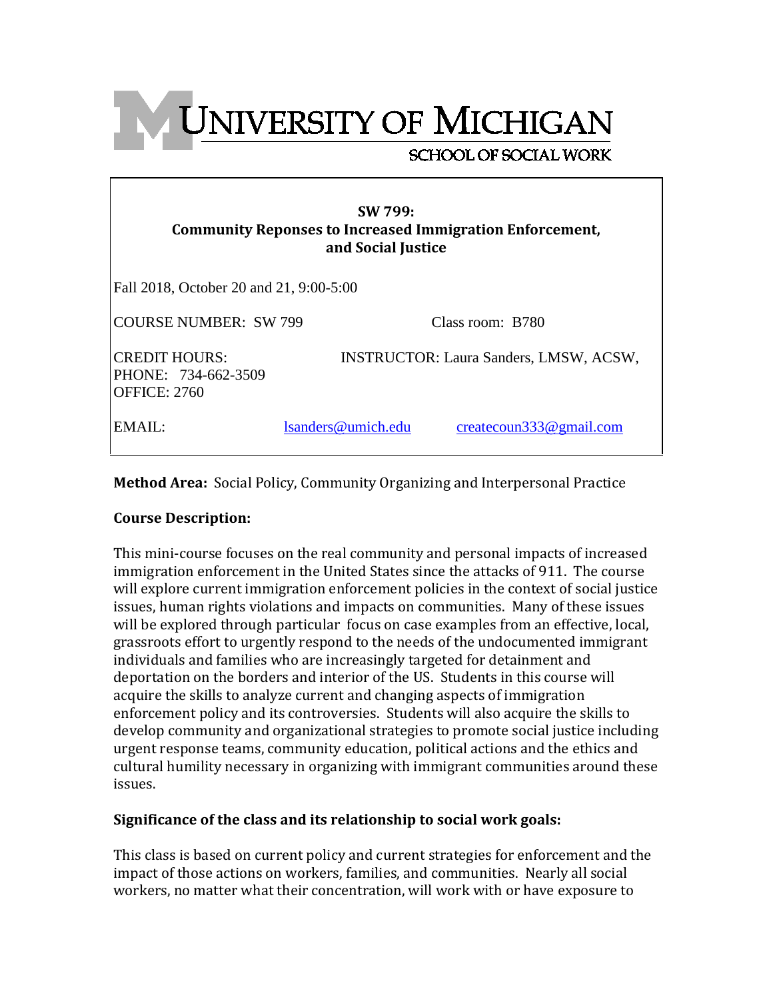**UNIVERSITY OF MICHIGAN** 

# **SCHOOL OF SOCIAL WORK**

Fall 2018, October 20 and 21, 9:00-5:00

| <b>COURSE NUMBER: SW 799</b> |  |
|------------------------------|--|
|                              |  |

Class room: B780

CREDIT HOURS: INSTRUCTOR: Laura Sanders, LMSW, ACSW, PHONE: 734-662-3509 OFFICE: 2760

EMAIL: [lsanders@umich.edu](mailto:lsanders@umich.edu) [createcoun333@gmail.com](mailto:createcoun333@gmail.com)

**Method Area:** Social Policy, Community Organizing and Interpersonal Practice

# **Course Description:**

This mini-course focuses on the real community and personal impacts of increased immigration enforcement in the United States since the attacks of 911. The course will explore current immigration enforcement policies in the context of social justice issues, human rights violations and impacts on communities. Many of these issues will be explored through particular focus on case examples from an effective, local, grassroots effort to urgently respond to the needs of the undocumented immigrant individuals and families who are increasingly targeted for detainment and deportation on the borders and interior of the US. Students in this course will acquire the skills to analyze current and changing aspects of immigration enforcement policy and its controversies. Students will also acquire the skills to develop community and organizational strategies to promote social justice including urgent response teams, community education, political actions and the ethics and cultural humility necessary in organizing with immigrant communities around these issues.

# **Significance of the class and its relationship to social work goals:**

This class is based on current policy and current strategies for enforcement and the impact of those actions on workers, families, and communities. Nearly all social workers, no matter what their concentration, will work with or have exposure to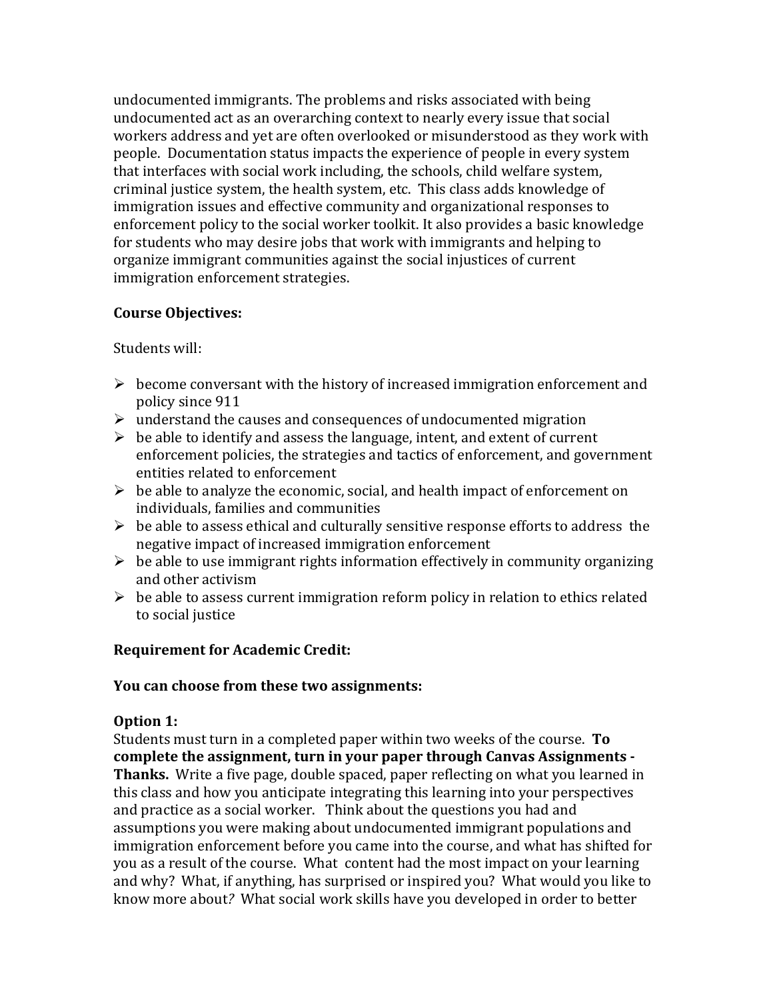undocumented immigrants. The problems and risks associated with being undocumented act as an overarching context to nearly every issue that social workers address and yet are often overlooked or misunderstood as they work with people. Documentation status impacts the experience of people in every system that interfaces with social work including, the schools, child welfare system, criminal justice system, the health system, etc. This class adds knowledge of immigration issues and effective community and organizational responses to enforcement policy to the social worker toolkit. It also provides a basic knowledge for students who may desire jobs that work with immigrants and helping to organize immigrant communities against the social injustices of current immigration enforcement strategies.

# **Course Objectives:**

Students will:

- $\triangleright$  become conversant with the history of increased immigration enforcement and policy since 911
- $\triangleright$  understand the causes and consequences of undocumented migration
- $\triangleright$  be able to identify and assess the language, intent, and extent of current enforcement policies, the strategies and tactics of enforcement, and government entities related to enforcement
- $\triangleright$  be able to analyze the economic, social, and health impact of enforcement on individuals, families and communities
- $\triangleright$  be able to assess ethical and culturally sensitive response efforts to address the negative impact of increased immigration enforcement
- $\triangleright$  be able to use immigrant rights information effectively in community organizing and other activism
- $\triangleright$  be able to assess current immigration reform policy in relation to ethics related to social justice

# **Requirement for Academic Credit:**

# **You can choose from these two assignments:**

# **Option 1:**

Students must turn in a completed paper within two weeks of the course. **To complete the assignment, turn in your paper through Canvas Assignments - Thanks.** Write a five page, double spaced, paper reflecting on what you learned in this class and how you anticipate integrating this learning into your perspectives and practice as a social worker. Think about the questions you had and assumptions you were making about undocumented immigrant populations and immigration enforcement before you came into the course, and what has shifted for you as a result of the course. What content had the most impact on your learning and why? What, if anything, has surprised or inspired you? What would you like to know more about*?* What social work skills have you developed in order to better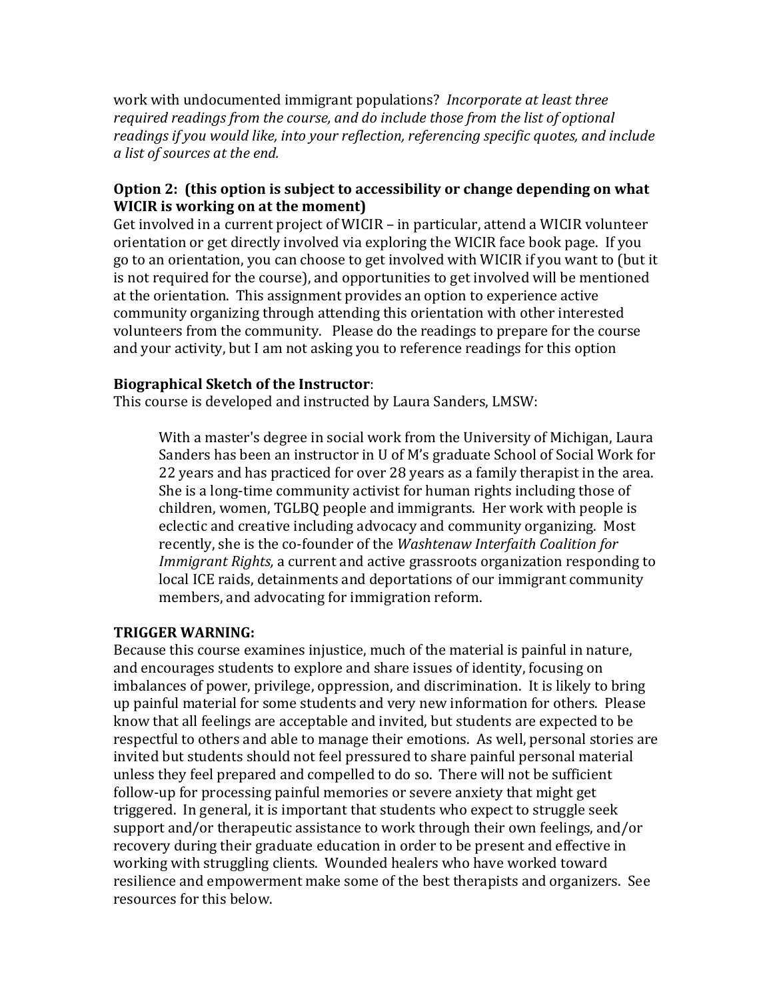work with undocumented immigrant populations? *Incorporate at least three required readings from the course, and do include those from the list of optional readings if you would like, into your reflection, referencing specific quotes, and include a list of sources at the end.*

# **Option 2: (this option is subject to accessibility or change depending on what WICIR is working on at the moment)**

Get involved in a current project of WICIR – in particular, attend a WICIR volunteer orientation or get directly involved via exploring the WICIR face book page. If you go to an orientation, you can choose to get involved with WICIR if you want to (but it is not required for the course), and opportunities to get involved will be mentioned at the orientation. This assignment provides an option to experience active community organizing through attending this orientation with other interested volunteers from the community. Please do the readings to prepare for the course and your activity, but I am not asking you to reference readings for this option

# **Biographical Sketch of the Instructor**:

This course is developed and instructed by Laura Sanders, LMSW:

With a master's degree in social work from the University of Michigan, Laura Sanders has been an instructor in U of M's graduate School of Social Work for 22 years and has practiced for over 28 years as a family therapist in the area. She is a long-time community activist for human rights including those of children, women, TGLBQ people and immigrants. Her work with people is eclectic and creative including advocacy and community organizing. Most recently, she is the co-founder of the *Washtenaw Interfaith Coalition for Immigrant Rights,* a current and active grassroots organization responding to local ICE raids, detainments and deportations of our immigrant community members, and advocating for immigration reform.

# **TRIGGER WARNING:**

Because this course examines injustice, much of the material is painful in nature, and encourages students to explore and share issues of identity, focusing on imbalances of power, privilege, oppression, and discrimination. It is likely to bring up painful material for some students and very new information for others. Please know that all feelings are acceptable and invited, but students are expected to be respectful to others and able to manage their emotions. As well, personal stories are invited but students should not feel pressured to share painful personal material unless they feel prepared and compelled to do so. There will not be sufficient follow-up for processing painful memories or severe anxiety that might get triggered. In general, it is important that students who expect to struggle seek support and/or therapeutic assistance to work through their own feelings, and/or recovery during their graduate education in order to be present and effective in working with struggling clients. Wounded healers who have worked toward resilience and empowerment make some of the best therapists and organizers. See resources for this below.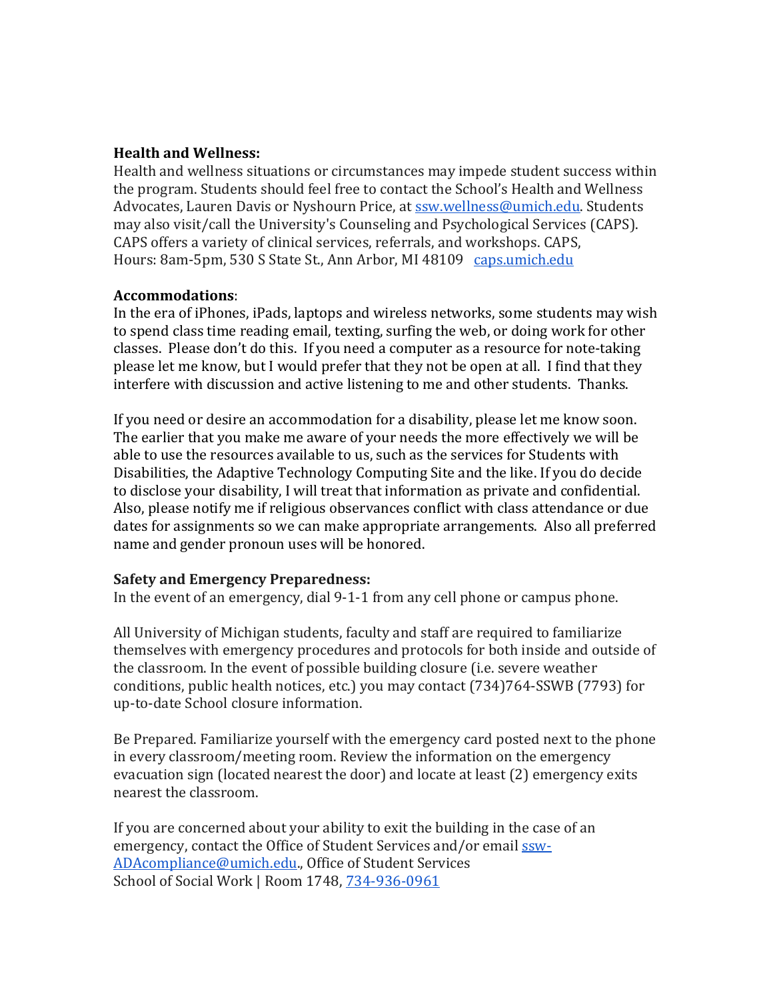#### **Health and Wellness:**

Health and wellness situations or circumstances may impede student success within the program. Students should feel free to contact the School's Health and Wellness Advocates, Lauren Davis or Nyshourn Price, at [ssw.wellness@umich.edu.](mailto:ssw.wellness@umich.edu) Students may also visit/call the University's Counseling and Psychological Services (CAPS). CAPS offers a variety of clinical services, referrals, and workshops. CAPS, Hours: 8am-5pm, 530 S State St., Ann Arbor, MI 48109 [caps.umich.edu](http://caps.umich.edu/)

#### **Accommodations**:

In the era of iPhones, iPads, laptops and wireless networks, some students may wish to spend class time reading email, texting, surfing the web, or doing work for other classes. Please don't do this. If you need a computer as a resource for note-taking please let me know, but I would prefer that they not be open at all. I find that they interfere with discussion and active listening to me and other students. Thanks.

If you need or desire an accommodation for a disability, please let me know soon. The earlier that you make me aware of your needs the more effectively we will be able to use the resources available to us, such as the services for Students with Disabilities, the Adaptive Technology Computing Site and the like. If you do decide to disclose your disability, I will treat that information as private and confidential. Also, please notify me if religious observances conflict with class attendance or due dates for assignments so we can make appropriate arrangements. Also all preferred name and gender pronoun uses will be honored.

# **Safety and Emergency Preparedness:**

In the event of an emergency, dial 9-1-1 from any cell phone or campus phone.

All University of Michigan students, faculty and staff are required to familiarize themselves with emergency procedures and protocols for both inside and outside of the classroom. In the event of possible building closure (i.e. severe weather conditions, public health notices, etc.) you may contact (734)764-SSWB (7793) for up-to-date School closure information.

Be Prepared. Familiarize yourself with the emergency card posted next to the phone in every classroom/meeting room. Review the information on the emergency evacuation sign (located nearest the door) and locate at least (2) emergency exits nearest the classroom.

If you are concerned about your ability to exit the building in the case of an emergency, contact the Office of Student Services and/or email [ssw-](mailto:ssw-ADAcompliance@umich.edu)[ADAcompliance@umich.edu.](mailto:ssw-ADAcompliance@umich.edu), Office of Student Services School of Social Work | Room 1748, [734-936-0961](tel:734-936-0961)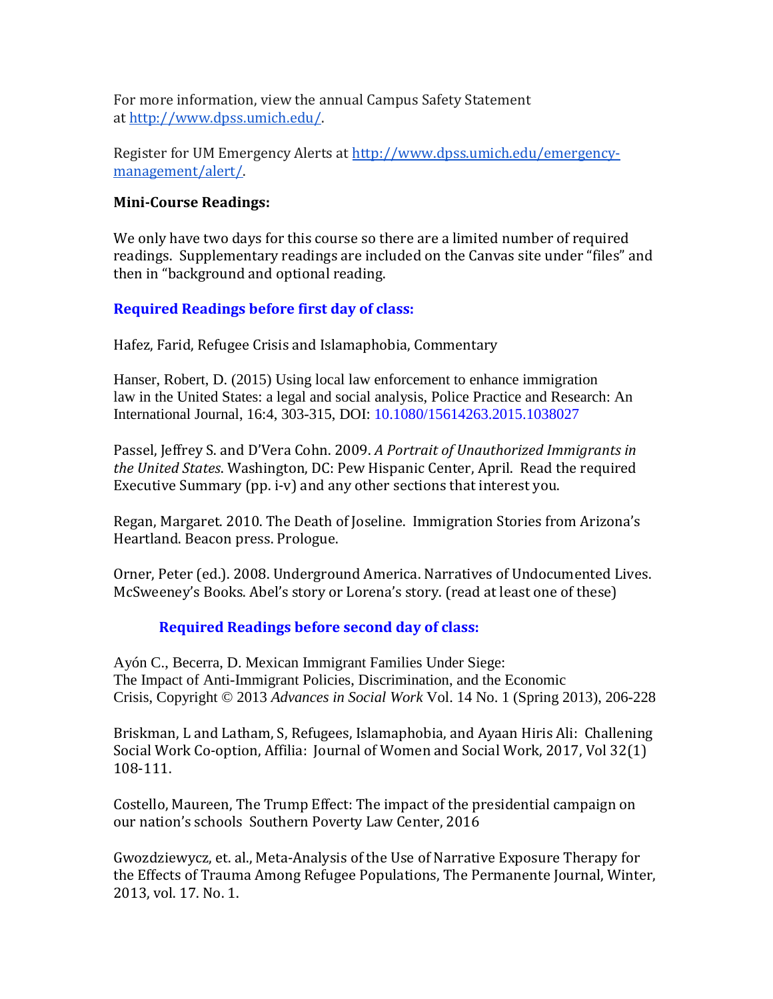For more information, view the annual Campus Safety Statement at [http://www.dpss.umich.edu/.](http://www.dpss.umich.edu/)

Register for UM Emergency Alerts at [http://www.dpss.umich.edu/emergency](http://www.dpss.umich.edu/emergency-management/alert/)[management/alert/.](http://www.dpss.umich.edu/emergency-management/alert/)

# **Mini-Course Readings:**

We only have two days for this course so there are a limited number of required readings. Supplementary readings are included on the Canvas site under "files" and then in "background and optional reading.

# **Required Readings before first day of class:**

Hafez, Farid, Refugee Crisis and Islamaphobia, Commentary

Hanser, Robert, D. (2015) Using local law enforcement to enhance immigration law in the United States: a legal and social analysis, Police Practice and Research: An International Journal, 16:4, 303-315, DOI: 10.1080/15614263.2015.1038027

Passel, Jeffrey S. and D'Vera Cohn. 2009. *A Portrait of Unauthorized Immigrants in the United States*. Washington, DC: Pew Hispanic Center, April. Read the required Executive Summary (pp. i-v) and any other sections that interest you.

Regan, Margaret. 2010. The Death of Joseline. Immigration Stories from Arizona's Heartland. Beacon press. Prologue.

Orner, Peter (ed.). 2008. Underground America. Narratives of Undocumented Lives. McSweeney's Books. Abel's story or Lorena's story. (read at least one of these)

# **Required Readings before second day of class:**

Ayón C., Becerra, D. Mexican Immigrant Families Under Siege: The Impact of Anti-Immigrant Policies, Discrimination, and the Economic Crisis, Copyright © 2013 *Advances in Social Work* Vol. 14 No. 1 (Spring 2013), 206-228

Briskman, L and Latham, S, Refugees, Islamaphobia, and Ayaan Hiris Ali: Challening Social Work Co-option, Affilia: Journal of Women and Social Work, 2017, Vol 32(1) 108-111.

Costello, Maureen, The Trump Effect: The impact of the presidential campaign on our nation's schools Southern Poverty Law Center, 2016

Gwozdziewycz, et. al., Meta-Analysis of the Use of Narrative Exposure Therapy for the Effects of Trauma Among Refugee Populations, The Permanente Journal, Winter, 2013, vol. 17. No. 1.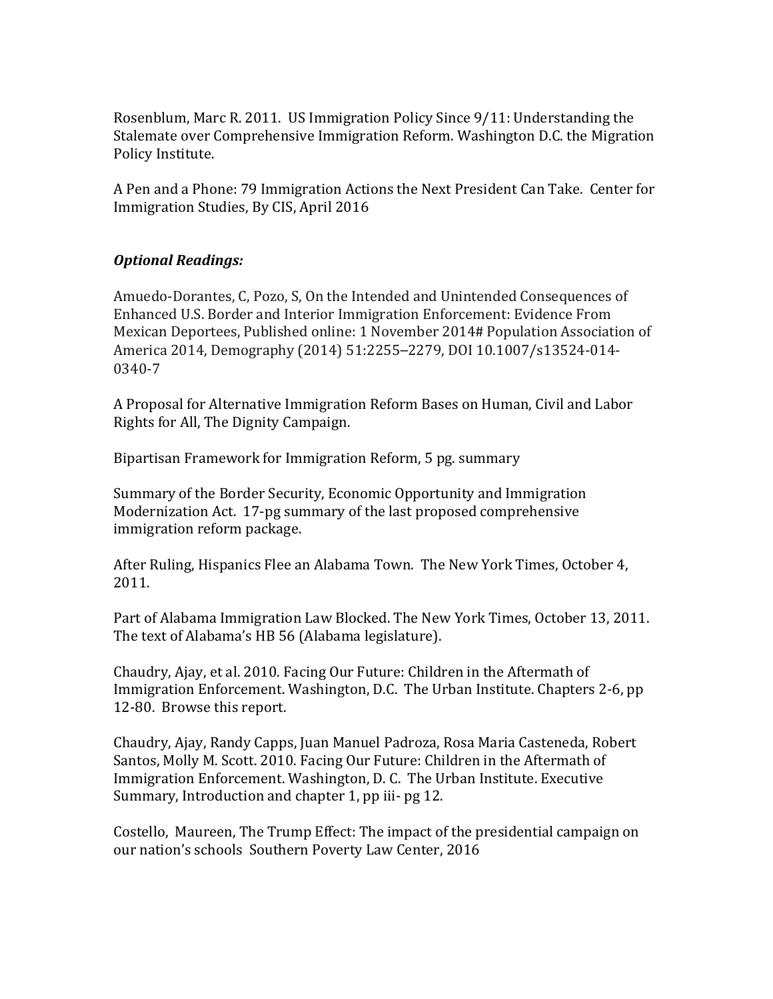Rosenblum, Marc R. 2011. US Immigration Policy Since 9/11: Understanding the Stalemate over Comprehensive Immigration Reform. Washington D.C. the Migration Policy Institute.

A Pen and a Phone: 79 Immigration Actions the Next President Can Take. Center for Immigration Studies, By CIS, April 2016

# *Optional Readings:*

Amuedo-Dorantes, C, Pozo, S, On the Intended and Unintended Consequences of Enhanced U.S. Border and Interior Immigration Enforcement: Evidence From Mexican Deportees, Published online: 1 November 2014# Population Association of America 2014, Demography (2014) 51:2255–2279, DOI 10.1007/s13524-014- 0340-7

A Proposal for Alternative Immigration Reform Bases on Human, Civil and Labor Rights for All, The Dignity Campaign.

Bipartisan Framework for Immigration Reform, 5 pg. summary

Summary of the Border Security, Economic Opportunity and Immigration Modernization Act. 17-pg summary of the last proposed comprehensive immigration reform package.

After Ruling, Hispanics Flee an Alabama Town. The New York Times, October 4, 2011.

Part of Alabama Immigration Law Blocked. The New York Times, October 13, 2011. The text of Alabama's HB 56 (Alabama legislature).

Chaudry, Ajay, et al. 2010. Facing Our Future: Children in the Aftermath of Immigration Enforcement. Washington, D.C. The Urban Institute. Chapters 2-6, pp 12-80. Browse this report.

Chaudry, Ajay, Randy Capps, Juan Manuel Padroza, Rosa Maria Casteneda, Robert Santos, Molly M. Scott. 2010. Facing Our Future: Children in the Aftermath of Immigration Enforcement. Washington, D. C. The Urban Institute. Executive Summary, Introduction and chapter 1, pp iii- pg 12.

Costello, Maureen, The Trump Effect: The impact of the presidential campaign on our nation's schools Southern Poverty Law Center, 2016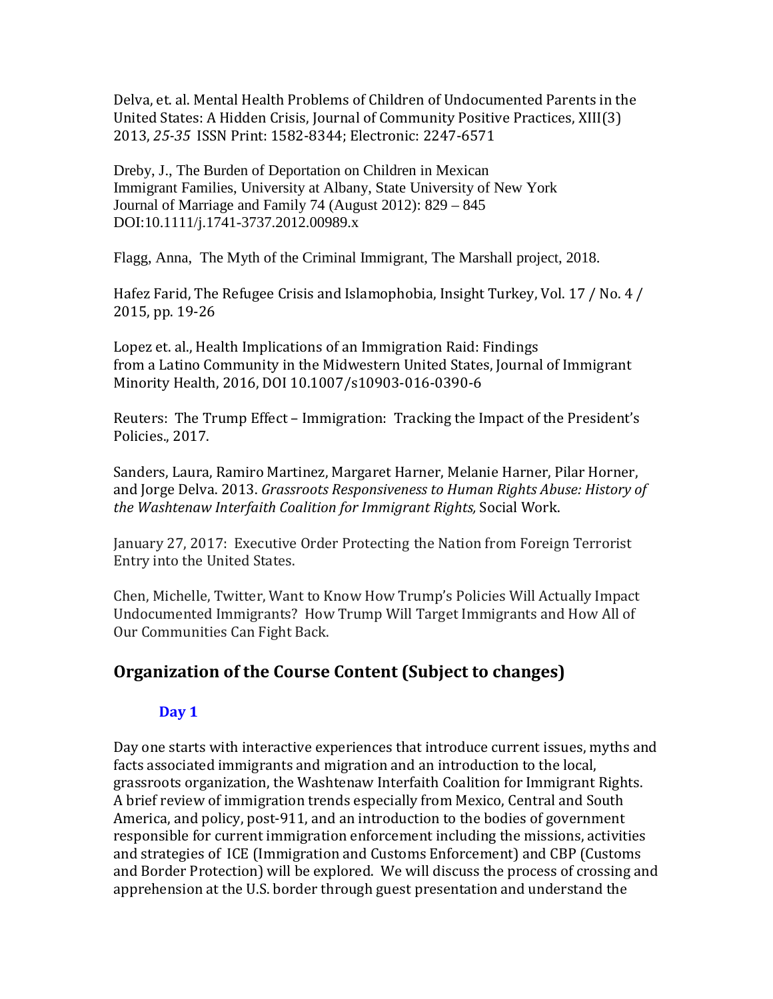Delva, et. al. Mental Health Problems of Children of Undocumented Parents in the United States: A Hidden Crisis, Journal of Community Positive Practices, XIII(3) 2013, *25-35* ISSN Print: 1582-8344; Electronic: 2247-6571

Dreby, J., The Burden of Deportation on Children in Mexican Immigrant Families, University at Albany, State University of New York Journal of Marriage and Family 74 (August 2012): 829 – 845 DOI:10.1111/j.1741-3737.2012.00989.x

Flagg, Anna, The Myth of the Criminal Immigrant, The Marshall project, 2018.

Hafez Farid, The Refugee Crisis and Islamophobia, Insight Turkey, Vol. 17 / No. 4 / 2015, pp. 19-26

Lopez et. al., Health Implications of an Immigration Raid: Findings from a Latino Community in the Midwestern United States, Journal of Immigrant Minority Health, 2016, DOI 10.1007/s10903-016-0390-6

Reuters: The Trump Effect – Immigration: Tracking the Impact of the President's Policies., 2017.

Sanders, Laura, Ramiro Martinez, Margaret Harner, Melanie Harner, Pilar Horner, and Jorge Delva. 2013. *Grassroots Responsiveness to Human Rights Abuse: History of the Washtenaw Interfaith Coalition for Immigrant Rights,* Social Work.

January 27, 2017: Executive Order Protecting the Nation from Foreign Terrorist Entry into the United States.

Chen, Michelle, Twitter, Want to Know How Trump's Policies Will Actually Impact Undocumented Immigrants? How Trump Will Target Immigrants and How All of Our Communities Can Fight Back.

# **Organization of the Course Content (Subject to changes)**

# **Day 1**

Day one starts with interactive experiences that introduce current issues, myths and facts associated immigrants and migration and an introduction to the local, grassroots organization, the Washtenaw Interfaith Coalition for Immigrant Rights. A brief review of immigration trends especially from Mexico, Central and South America, and policy, post-911, and an introduction to the bodies of government responsible for current immigration enforcement including the missions, activities and strategies of ICE (Immigration and Customs Enforcement) and CBP (Customs and Border Protection) will be explored. We will discuss the process of crossing and apprehension at the U.S. border through guest presentation and understand the